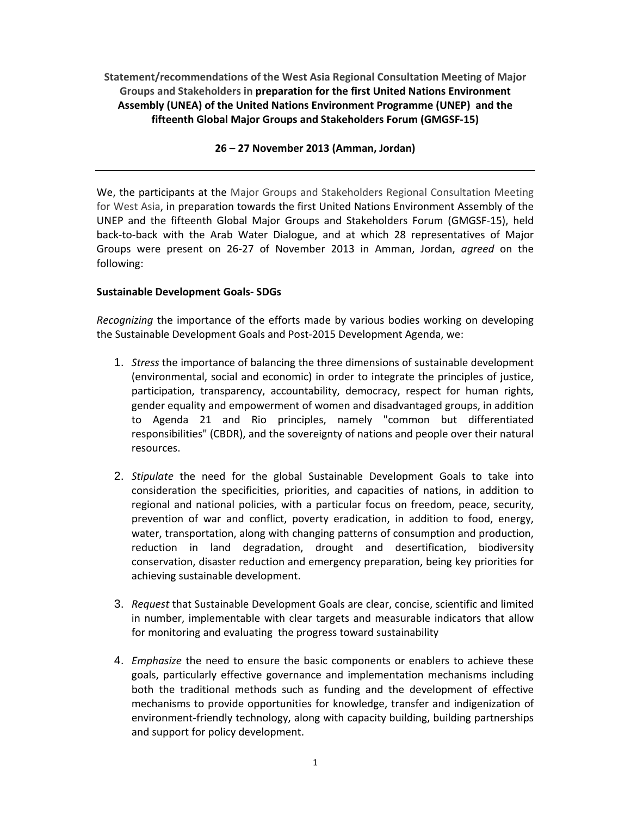**Statement/recommendations of the West Asia Regional Consultation Meeting of Major Groups and Stakeholders in preparation for the first United Nations Environment Assembly (UNEA) of the United Nations Environment Programme (UNEP) and the fifteenth Global Major Groups and Stakeholders Forum (GMGSF‐15)**

## **26 – 27 November 2013 (Amman, Jordan)**

We, the participants at the Major Groups and Stakeholders Regional Consultation Meeting for West Asia, in preparation towards the first United Nations Environment Assembly of the UNEP and the fifteenth Global Major Groups and Stakeholders Forum (GMGSF‐15), held back‐to‐back with the Arab Water Dialogue, and at which 28 representatives of Major Groups were present on 26‐27 of November 2013 in Amman, Jordan, *agreed* on the following:

# **Sustainable Development Goals‐ SDGs**

*Recognizing* the importance of the efforts made by various bodies working on developing the Sustainable Development Goals and Post‐2015 Development Agenda, we:

- 1. *Stress* the importance of balancing the three dimensions of sustainable development (environmental, social and economic) in order to integrate the principles of justice, participation, transparency, accountability, democracy, respect for human rights, gender equality and empowerment of women and disadvantaged groups, in addition to Agenda 21 and Rio principles, namely "common but differentiated responsibilities" (CBDR), and the sovereignty of nations and people over their natural resources.
- 2. *Stipulate* the need for the global Sustainable Development Goals to take into consideration the specificities, priorities, and capacities of nations, in addition to regional and national policies, with a particular focus on freedom, peace, security, prevention of war and conflict, poverty eradication, in addition to food, energy, water, transportation, along with changing patterns of consumption and production, reduction in land degradation, drought and desertification, biodiversity conservation, disaster reduction and emergency preparation, being key priorities for achieving sustainable development.
- 3. *Request* that Sustainable Development Goals are clear, concise, scientific and limited in number, implementable with clear targets and measurable indicators that allow for monitoring and evaluating the progress toward sustainability
- 4. *Emphasize* the need to ensure the basic components or enablers to achieve these goals, particularly effective governance and implementation mechanisms including both the traditional methods such as funding and the development of effective mechanisms to provide opportunities for knowledge, transfer and indigenization of environment‐friendly technology, along with capacity building, building partnerships and support for policy development.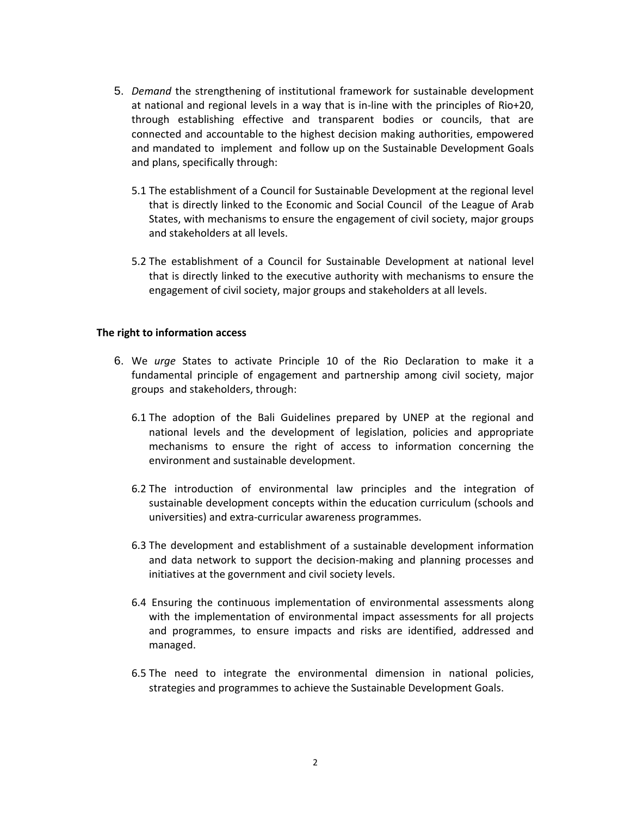- 5. *Demand* the strengthening of institutional framework for sustainable development at national and regional levels in a way that is in‐line with the principles of Rio+20, through establishing effective and transparent bodies or councils, that are connected and accountable to the highest decision making authorities, empowered and mandated to implement and follow up on the Sustainable Development Goals and plans, specifically through:
	- 5.1 The establishment of a Council for Sustainable Development at the regional level that is directly linked to the Economic and Social Council of the League of Arab States, with mechanisms to ensure the engagement of civil society, major groups and stakeholders at all levels.
	- 5.2 The establishment of a Council for Sustainable Development at national level that is directly linked to the executive authority with mechanisms to ensure the engagement of civil society, major groups and stakeholders at all levels.

## **The right to information access**

- 6. We *urge* States to activate Principle 10 of the Rio Declaration to make it a fundamental principle of engagement and partnership among civil society, major groups and stakeholders, through:
	- 6.1 The adoption of the Bali Guidelines prepared by UNEP at the regional and national levels and the development of legislation, policies and appropriate mechanisms to ensure the right of access to information concerning the environment and sustainable development.
	- 6.2 The introduction of environmental law principles and the integration of sustainable development concepts within the education curriculum (schools and universities) and extra‐curricular awareness programmes.
	- 6.3 The development and establishment of a sustainable development information and data network to support the decision‐making and planning processes and initiatives at the government and civil society levels.
	- 6.4 Ensuring the continuous implementation of environmental assessments along with the implementation of environmental impact assessments for all projects and programmes, to ensure impacts and risks are identified, addressed and managed.
	- 6.5 The need to integrate the environmental dimension in national policies, strategies and programmes to achieve the Sustainable Development Goals.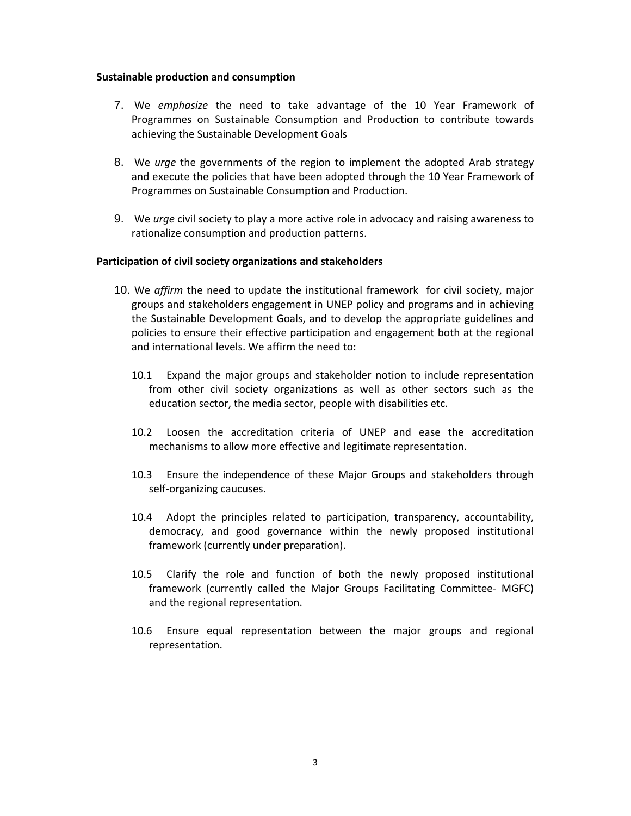#### **Sustainable production and consumption**

- 7. We *emphasize* the need to take advantage of the 10 Year Framework of Programmes on Sustainable Consumption and Production to contribute towards achieving the Sustainable Development Goals
- 8. We *urge* the governments of the region to implement the adopted Arab strategy and execute the policies that have been adopted through the 10 Year Framework of Programmes on Sustainable Consumption and Production.
- 9. We *urge* civil society to play a more active role in advocacy and raising awareness to rationalize consumption and production patterns.

## **Participation of civil society organizations and stakeholders**

- 10. We *affirm* the need to update the institutional framework for civil society, major groups and stakeholders engagement in UNEP policy and programs and in achieving the Sustainable Development Goals, and to develop the appropriate guidelines and policies to ensure their effective participation and engagement both at the regional and international levels. We affirm the need to:
	- 10.1 Expand the major groups and stakeholder notion to include representation from other civil society organizations as well as other sectors such as the education sector, the media sector, people with disabilities etc.
	- 10.2 Loosen the accreditation criteria of UNEP and ease the accreditation mechanisms to allow more effective and legitimate representation.
	- 10.3 Ensure the independence of these Major Groups and stakeholders through self‐organizing caucuses.
	- 10.4 Adopt the principles related to participation, transparency, accountability, democracy, and good governance within the newly proposed institutional framework (currently under preparation).
	- 10.5 Clarify the role and function of both the newly proposed institutional framework (currently called the Major Groups Facilitating Committee‐ MGFC) and the regional representation.
	- 10.6 Ensure equal representation between the major groups and regional representation.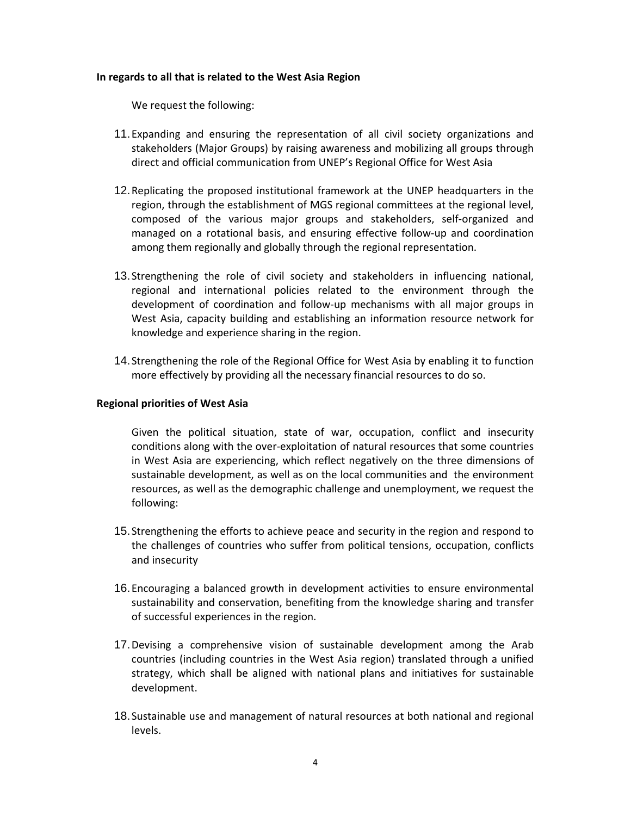## **In regards to all that is related to the West Asia Region**

We request the following:

- 11. Expanding and ensuring the representation of all civil society organizations and stakeholders (Major Groups) by raising awareness and mobilizing all groups through direct and official communication from UNEP's Regional Office for West Asia
- 12. Replicating the proposed institutional framework at the UNEP headquarters in the region, through the establishment of MGS regional committees at the regional level, composed of the various major groups and stakeholders, self‐organized and managed on a rotational basis, and ensuring effective follow‐up and coordination among them regionally and globally through the regional representation.
- 13. Strengthening the role of civil society and stakeholders in influencing national, regional and international policies related to the environment through the development of coordination and follow‐up mechanisms with all major groups in West Asia, capacity building and establishing an information resource network for knowledge and experience sharing in the region.
- 14. Strengthening the role of the Regional Office for West Asia by enabling it to function more effectively by providing all the necessary financial resources to do so.

## **Regional priorities of West Asia**

Given the political situation, state of war, occupation, conflict and insecurity conditions along with the over‐exploitation of natural resources that some countries in West Asia are experiencing, which reflect negatively on the three dimensions of sustainable development, as well as on the local communities and the environment resources, as well as the demographic challenge and unemployment, we request the following:

- 15. Strengthening the efforts to achieve peace and security in the region and respond to the challenges of countries who suffer from political tensions, occupation, conflicts and insecurity
- 16. Encouraging a balanced growth in development activities to ensure environmental sustainability and conservation, benefiting from the knowledge sharing and transfer of successful experiences in the region.
- 17. Devising a comprehensive vision of sustainable development among the Arab countries (including countries in the West Asia region) translated through a unified strategy, which shall be aligned with national plans and initiatives for sustainable development.
- 18. Sustainable use and management of natural resources at both national and regional levels.